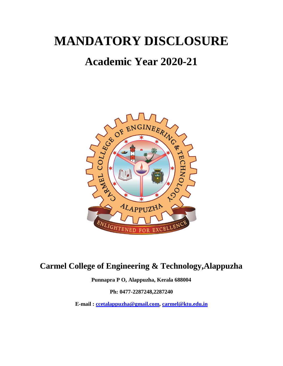# **MANDATORY DISCLOSURE**

## **Academic Year 2020-21**



## **Carmel College of Engineering & Technology,Alappuzha**

**Punnapra P O, Alappuzha, Kerala 688004**

**Ph: 0477-2287248,2287240**

**E-mail : [ccetalappuzha@gmail.com,](mailto:ccetalappuzha@gmail.com) [carmel@ktu.edu.in](mailto:carmel@ktu.edu.in)**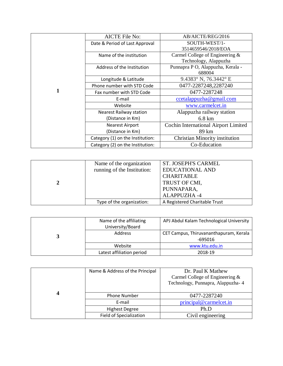|   | <b>AICTE File No:</b>            | AB/AICTE/REG/2016                    |
|---|----------------------------------|--------------------------------------|
|   | Date & Period of Last Approval   | SOUTH-WEST/1-                        |
|   |                                  | 3514659546/2018/EOA                  |
|   | Name of the institution          | Carmel College of Engineering &      |
|   |                                  | Technology, Alappuzha                |
|   | Address of the Institution       | Punnapra P O, Alappuzha, Kerala -    |
|   |                                  | 688004                               |
|   | Longitude & Latitude             | 9.4383° N, 76.3442° E                |
|   | Phone number with STD Code       | 0477-2287248,2287240                 |
| 1 | Fax number with STD Code         | 0477-2287248                         |
|   | E-mail                           | ccetalappuzha@gmail.com              |
|   | Website                          | www.carmelcet.in                     |
|   | <b>Nearest Railway station</b>   | Alappuzha railway station            |
|   | (Distance in Km)                 | $6.8 \text{ km}$                     |
|   | <b>Nearest Airport</b>           | Cochin International Airport Limited |
|   | (Distance in Km)                 | 89 km                                |
|   | Category (1) on the Institution: | Christian Minority institution       |
|   | Category (2) on the Institution: | Co-Education                         |

| Name of the organization    | <b>ST. JOSEPH'S CARMEL</b>    |
|-----------------------------|-------------------------------|
| running of the Institution: | <b>EDUCATIONAL AND</b>        |
|                             | <b>CHARITABLE</b>             |
|                             | TRUST OF CMI,                 |
|                             | PUNNAPARA,                    |
|                             | <b>ALAPPUZHA-4</b>            |
| Type of the organization:   | A Registered Charitable Trust |

| Name of the affiliating<br>University/Board | APJ Abdul Kalam Technological University |
|---------------------------------------------|------------------------------------------|
| Address                                     | CET Campus, Thiruvananthapuram, Kerala   |
|                                             | -695016                                  |
| Website                                     | www.ktu.edu.in                           |
| Latest affiliation period                   | 2018-19                                  |

| Name & Address of the Principal | Dr. Paul K Mathew                  |
|---------------------------------|------------------------------------|
|                                 | Carmel College of Engineering $&$  |
|                                 | Technology, Punnapra, Alappuzha- 4 |
|                                 |                                    |
| <b>Phone Number</b>             | 0477-2287240                       |
| E-mail                          | principal@carmelcet.in             |
| <b>Highest Degree</b>           | Ph.D                               |
| <b>Field of Specialization</b>  | Civil engineering                  |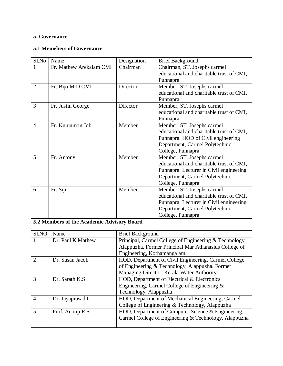#### **5. Governance**

#### **5.1 Memebers of Governance**

| Sl.No          | Name                    | Designation | <b>Brief Background</b>                  |
|----------------|-------------------------|-------------|------------------------------------------|
| 1              | Fr. Mathew Arekalam CMI | Chairman    | Chairman, ST. Josephs carmel             |
|                |                         |             | educational and charitable trust of CMI, |
|                |                         |             | Punnapra.                                |
| $\overline{2}$ | Fr. Bijo M D CMI        | Director    | Member, ST. Josephs carmel               |
|                |                         |             | educational and charitable trust of CMI, |
|                |                         |             | Punnapra.                                |
| 3              | Fr. Justin George       | Director    | Member, ST. Josephs carmel               |
|                |                         |             | educational and charitable trust of CMI, |
|                |                         |             | Punnapra.                                |
| $\overline{4}$ | Fr. Kunjumon Job        | Member      | Member, ST. Josephs carmel               |
|                |                         |             | educational and charitable trust of CMI, |
|                |                         |             | Punnapra. HOD of Civil engineering       |
|                |                         |             | Department, Carmel Polytechnic           |
|                |                         |             | College, Punnapra                        |
| 5              | Fr. Antony              | Member      | Member, ST. Josephs carmel               |
|                |                         |             | educational and charitable trust of CMI, |
|                |                         |             | Punnapra. Lecturer in Civil engineering  |
|                |                         |             | Department, Carmel Polytechnic           |
|                |                         |             | College, Punnapra                        |
| 6              | Fr. Siji                | Member      | Member, ST. Josephs carmel               |
|                |                         |             | educational and charitable trust of CMI, |
|                |                         |             | Punnapra. Lecturer in Civil engineering  |
|                |                         |             | Department, Carmel Polytechnic           |
|                |                         |             | College, Punnapra                        |

## **5.2 Members of the Academic Advisory Board**

| Sl.NO          | Name              | <b>Brief Background</b>                                |
|----------------|-------------------|--------------------------------------------------------|
|                | Dr. Paul K Mathew | Principal, Carmel College of Engineering & Technology, |
|                |                   | Alappuzha. Former Principal Mar Athanasius College of  |
|                |                   | Engineering, Kothamangalam.                            |
| $\mathcal{D}$  | Dr. Susan Jacob   | HOD, Department of Civil Engineering, Carmel College   |
|                |                   | of Engineering & Technology, Alappuzha. Former         |
|                |                   | Managing Director, Kerala Water Authority              |
| 3              | Dr. Sarath K.S.   | HOD, Department of Electrical & Electronics            |
|                |                   | Engineering, Carmel College of Engineering &           |
|                |                   | Technology, Alappuzha                                  |
| $\overline{A}$ | Dr. Jayaprasad G  | HOD, Department of Mechanical Engineering, Carmel      |
|                |                   | College of Engineering & Technology, Alappuzha         |
| 5              | Prof. Anoop R S   | HOD, Department of Computer Science & Engineering,     |
|                |                   | Carmel College of Engineering & Technology, Alappuzha  |
|                |                   |                                                        |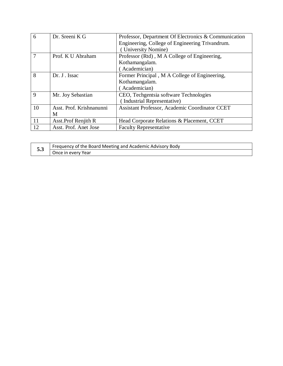| 6           | Dr. Sreeni K G           | Professor, Department Of Electronics & Communication |
|-------------|--------------------------|------------------------------------------------------|
|             |                          | Engineering, College of Engineering Trivandrum.      |
|             |                          | (University Nomine)                                  |
| 7           | Prof. K U Abraham        | Professor (Rtd), M A College of Engineering,         |
|             |                          | Kothamangalam.                                       |
|             |                          | (Academician)                                        |
| 8           | Dr. J. Issac             | Former Principal, M A College of Engineering,        |
|             |                          | Kothamangalam.                                       |
|             |                          | Academician)                                         |
| $\mathbf Q$ | Mr. Joy Sebastian        | CEO, Techgentsia software Technologies               |
|             |                          | (Industrial Representative)                          |
| 10          | Asst. Prof. Krishnanunni | Assistant Professor, Academic Coordinator CCET       |
|             | M                        |                                                      |
| 11          | Asst. Prof Renjith R     | Head Corporate Relations & Placement, CCET           |
| 12          | Asst. Prof. Anet Jose    | <b>Faculty Representative</b>                        |

|   | Frequency of the Board Meeting and Academic Advisory Body |
|---|-----------------------------------------------------------|
| ິ | Once in every Year                                        |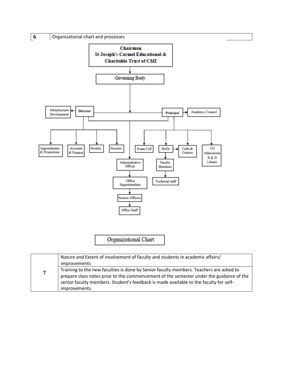

|                | Nature and Extent of involvement of faculty and students in academic affairs/<br>improvements                                                                                                                                                                                               |
|----------------|---------------------------------------------------------------------------------------------------------------------------------------------------------------------------------------------------------------------------------------------------------------------------------------------|
| $\overline{7}$ | Training to the new faculties is done by Senior faculty members. Teachers are asked to<br>prepare class notes prior to the commencement of the semester under the guidance of the<br>senior faculty members. Student's feedback is made available to the faculty for self-<br>improvements. |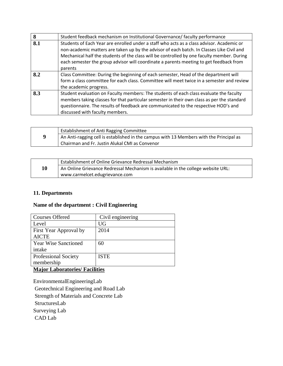| 8   | Student feedback mechanism on Institutional Governance/ faculty performance                                                                                                                                                                                                                                                                                                               |
|-----|-------------------------------------------------------------------------------------------------------------------------------------------------------------------------------------------------------------------------------------------------------------------------------------------------------------------------------------------------------------------------------------------|
| 8.1 | Students of Each Year are enrolled under a staff who acts as a class advisor. Academic or<br>non-academic matters are taken up by the advisor of each batch. In Classes Like Civil and<br>Mechanical half the students of the class will be controlled by one faculty member. During<br>each semester the group advisor will coordinate a parents meeting to get feedback from<br>parents |
| 8.2 | Class Committee: During the beginning of each semester, Head of the department will<br>form a class committee for each class. Committee will meet twice in a semester and review<br>the academic progress.                                                                                                                                                                                |
| 8.3 | Student evaluation on Faculty members: The students of each class evaluate the faculty<br>members taking classes for that particular semester in their own class as per the standard<br>questionnaire. The results of feedback are communicated to the respective HOD's and<br>discussed with faculty members.                                                                            |

|   | <b>Establishment of Anti Ragging Committee</b>                                          |
|---|-----------------------------------------------------------------------------------------|
| 9 | An Anti-ragging cell is established in the campus with 13 Members with the Principal as |
|   | Chairman and Fr. Justin Alukal CMI as Convenor                                          |

|    | Establishment of Online Grievance Redressal Mechanism                            |
|----|----------------------------------------------------------------------------------|
| 10 | An Online Grievance Redressal Mechanism is available in the college website URL: |
|    | www.carmelcet.edugrievance.com                                                   |

#### **11. Departments**

#### **Name of the department : Civil Engineering**

| <b>Courses Offered</b>      | Civil engineering |
|-----------------------------|-------------------|
| Level                       | <b>UG</b>         |
| First Year Approval by      | 2014              |
| <b>AICTE</b>                |                   |
| <b>Year Wise Sanctioned</b> | 60                |
| intake                      |                   |
| <b>Professional Society</b> | <b>ISTE</b>       |
| membership                  |                   |
|                             |                   |

#### **Major Laboratories/ Facilities**

EnvironmentalEngineeringLab Geotechnical Engineering and Road Lab Strength of Materials and Concrete Lab StructuresLab Surveying Lab CAD Lab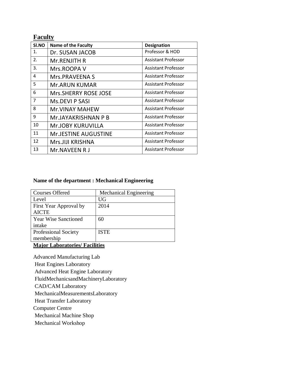## **Faculty**

| SI.NO | <b>Name of the Faculty</b>  | <b>Designation</b>         |
|-------|-----------------------------|----------------------------|
| 1.    | Dr. SUSAN JACOB             | Professor & HOD            |
| 2.    | Mr.RENJITH R                | <b>Assistant Professor</b> |
| 3.    | Mrs.ROOPA V                 | Assistant Professor        |
| 4     | Mrs.PRAVEENA S              | <b>Assistant Professor</b> |
| 5     | <b>Mr.ARUN KUMAR</b>        | <b>Assistant Professor</b> |
| 6     | Mrs.SHERRY ROSE JOSE        | <b>Assistant Professor</b> |
| 7     | <b>Ms.DEVI P SASI</b>       | <b>Assistant Professor</b> |
| 8     | <b>Mr.VINAY MAHEW</b>       | <b>Assistant Professor</b> |
| 9     | Mr.JAYAKRISHNAN P B         | <b>Assistant Professor</b> |
| 10    | <b>Mr.JOBY KURUVILLA</b>    | <b>Assistant Professor</b> |
| 11    | <b>Mr.JESTINE AUGUSTINE</b> | <b>Assistant Professor</b> |
| 12    | Mrs.JIJI KRISHNA            | <b>Assistant Professor</b> |
| 13    | Mr.NAVEEN R J               | <b>Assistant Professor</b> |

#### **Name of the department : Mechanical Engineering**

| <b>Courses Offered</b>                | <b>Mechanical Engineering</b> |
|---------------------------------------|-------------------------------|
| Level                                 | <b>UG</b>                     |
| First Year Approval by                | 2014                          |
| <b>AICTE</b>                          |                               |
| <b>Year Wise Sanctioned</b>           | 60                            |
| intake                                |                               |
| <b>Professional Society</b>           | <b>ISTE</b>                   |
| membership                            |                               |
| <b>Major Laboratories/ Facilities</b> |                               |

Advanced Manufacturing Lab

Heat Engines Laboratory

Advanced Heat Engine Laboratory

FluidMechanicsandMachineryLaboratory

CAD/CAM Laboratory

MechanicalMeasurementsLaboratory

Heat Transfer Laboratory

Computer Centre

Mechanical Machine Shop

Mechanical Workshop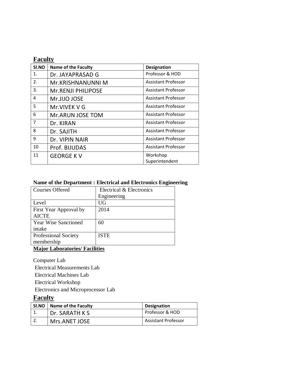#### **Faculty**

| SI.NO | <b>Name of the Faculty</b> | <b>Designation</b>         |
|-------|----------------------------|----------------------------|
| 1.    | Dr. JAYAPRASAD G           | Professor & HOD            |
| 2.    | Mr.KRISHNANUNNI M          | <b>Assistant Professor</b> |
| 3.    | <b>Mr.RENJI PHILIPOSE</b>  | <b>Assistant Professor</b> |
| 4     | Mr.JIJO JOSE               | <b>Assistant Professor</b> |
| 5     | Mr. VIVEK V G              | <b>Assistant Professor</b> |
| 6     | Mr.ARUN JOSE TOM           | Assistant Professor        |
| 7     | Dr. KIRAN                  | Assistant Professor        |
| 8     | Dr. SAJITH                 | <b>Assistant Professor</b> |
| 9     | Dr. VIPIN NAIR             | <b>Assistant Professor</b> |
| 10    | Prof. BIJUDAS              | <b>Assistant Professor</b> |
| 11    | <b>GEORGE KV</b>           | Workshop                   |
|       |                            | Superintendent             |

#### **Name of the Department : Electrical and Electronics Engineering**

| <b>Courses Offered</b>                | Electrical & Electronics |
|---------------------------------------|--------------------------|
|                                       | Engineering              |
| Level                                 | <b>UG</b>                |
| First Year Approval by                | 2014                     |
| <b>AICTE</b>                          |                          |
| <b>Year Wise Sanctioned</b>           | 60                       |
| intake                                |                          |
| <b>Professional Society</b>           | <b>ISTE</b>              |
| membership                            |                          |
| <b>Major Laboratories/ Facilities</b> |                          |

Computer Lab Electrical Measurements Lab Electrical Machines Lab Electrical Workshop Electronics and Microprocessor Lab

#### **Faculty**

| <b>SI.NO</b> | Name of the Faculty | <b>Designation</b>         |
|--------------|---------------------|----------------------------|
|              | Dr. SARATH K S      | Professor & HOD            |
|              | Mrs.ANET JOSE       | <b>Assistant Professor</b> |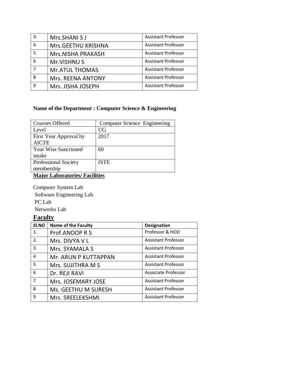| 3. | Mrs.SHANI S J            | <b>Assistant Professor</b> |
|----|--------------------------|----------------------------|
| 4  | Mrs.GEETHU KRISHNA       | <b>Assistant Professor</b> |
| 5  | <b>Mrs.NISHA PRAKASH</b> | <b>Assistant Professor</b> |
| 6  | Mr.VISHNU S              | <b>Assistant Professor</b> |
|    | <b>Mr.ATUL THOMAS</b>    | <b>Assistant Professor</b> |
| 8  | Mrs. REENA ANTONY        | <b>Assistant Professor</b> |
| q  | Mrs. JISHA JOSEPH        | <b>Assistant Professor</b> |

#### **Name of the Department : Computer Science & Engineering**

| <b>Courses Offered</b>      | Computer Science Engineering |
|-----------------------------|------------------------------|
| Level                       | <b>UG</b>                    |
| First Year Approval by      | 2017                         |
| <b>AICTE</b>                |                              |
| <b>Year Wise Sanctioned</b> | 60                           |
| intake                      |                              |
| <b>Professional Society</b> | <b>ISTE</b>                  |
| membership                  |                              |
| M.C. I I 11:4:              |                              |

#### **Major Laboratories/ Facilities**

Computer System Lab Software Engineering Lab PC Lab Networks Lab

## **Faculty**

| SI.NO | <b>Name of the Faculty</b> | <b>Designation</b>         |
|-------|----------------------------|----------------------------|
| 1.    | Prof.ANOOP R S             | Professor & HOD            |
| 2.    | Mrs. DIVYA V L             | <b>Assistant Professor</b> |
| 3.    | Mrs. SYAMALA S             | <b>Assistant Professor</b> |
| 4     | Mr. ARUN P KUTTAPPAN       | <b>Assistant Professor</b> |
| 5     | Mrs. SUJITHRA M S          | <b>Assistant Professor</b> |
| 6     | Dr. REJI RAVI              | <b>Associate Professor</b> |
| 7     | Mrs. JOSEMARY JOSE         | <b>Assistant Professor</b> |
| 8     | Ms. GEETHU M SURESH        | <b>Assistant Professor</b> |
| 9     | Mrs. SREELEKSHMI           | <b>Assistant Professor</b> |